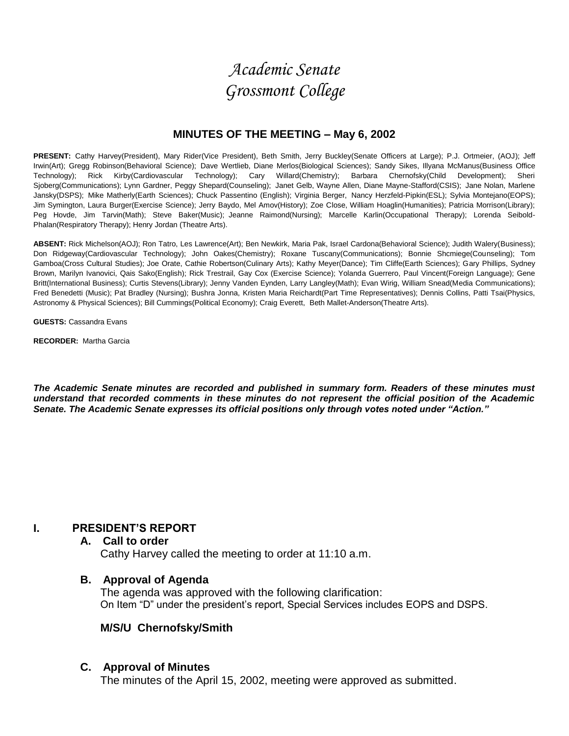# *Academic Senate Grossmont College*

### **MINUTES OF THE MEETING – May 6, 2002**

**PRESENT:** Cathy Harvey(President), Mary Rider(Vice President), Beth Smith, Jerry Buckley(Senate Officers at Large); P.J. Ortmeier, (AOJ); Jeff Irwin(Art); Gregg Robinson(Behavioral Science); Dave Wertlieb, Diane Merlos(Biological Sciences); Sandy Sikes, Illyana McManus(Business Office Technology); Rick Kirby(Cardiovascular Technology); Cary Willard(Chemistry); Barbara Chernofsky(Child Development); Sheri Sjoberg(Communications); Lynn Gardner, Peggy Shepard(Counseling); Janet Gelb, Wayne Allen, Diane Mayne-Stafford(CSIS); Jane Nolan, Marlene Jansky(DSPS); Mike Matherly(Earth Sciences); Chuck Passentino (English); Virginia Berger, Nancy Herzfeld-Pipkin(ESL); Sylvia Montejano(EOPS); Jim Symington, Laura Burger(Exercise Science); Jerry Baydo, Mel Amov(History); Zoe Close, William Hoaglin(Humanities); Patricia Morrison(Library); Peg Hovde, Jim Tarvin(Math); Steve Baker(Music); Jeanne Raimond(Nursing); Marcelle Karlin(Occupational Therapy); Lorenda Seibold-Phalan(Respiratory Therapy); Henry Jordan (Theatre Arts).

**ABSENT:** Rick Michelson(AOJ); Ron Tatro, Les Lawrence(Art); Ben Newkirk, Maria Pak, Israel Cardona(Behavioral Science); Judith Walery(Business); Don Ridgeway(Cardiovascular Technology); John Oakes(Chemistry); Roxane Tuscany(Communications); Bonnie Shcmiege(Counseling); Tom Gamboa(Cross Cultural Studies); Joe Orate, Cathie Robertson(Culinary Arts); Kathy Meyer(Dance); Tim Cliffe(Earth Sciences); Gary Phillips, Sydney Brown, Marilyn Ivanovici, Qais Sako(English); Rick Trestrail, Gay Cox (Exercise Science); Yolanda Guerrero, Paul Vincent(Foreign Language); Gene Britt(International Business); Curtis Stevens(Library); Jenny Vanden Eynden, Larry Langley(Math); Evan Wirig, William Snead(Media Communications); Fred Benedetti (Music); Pat Bradley (Nursing); Bushra Jonna, Kristen Maria Reichardt(Part Time Representatives); Dennis Collins, Patti Tsai(Physics, Astronomy & Physical Sciences); Bill Cummings(Political Economy); Craig Everett, Beth Mallet-Anderson(Theatre Arts).

**GUESTS:** Cassandra Evans

**RECORDER:** Martha Garcia

*The Academic Senate minutes are recorded and published in summary form. Readers of these minutes must understand that recorded comments in these minutes do not represent the official position of the Academic Senate. The Academic Senate expresses its official positions only through votes noted under "Action."*

### **I. PRESIDENT'S REPORT**

#### **A. Call to order**

Cathy Harvey called the meeting to order at 11:10 a.m.

#### **B. Approval of Agenda**

The agenda was approved with the following clarification: On Item "D" under the president's report, Special Services includes EOPS and DSPS.

### **M/S/U Chernofsky/Smith**

### **C. Approval of Minutes**

The minutes of the April 15, 2002, meeting were approved as submitted.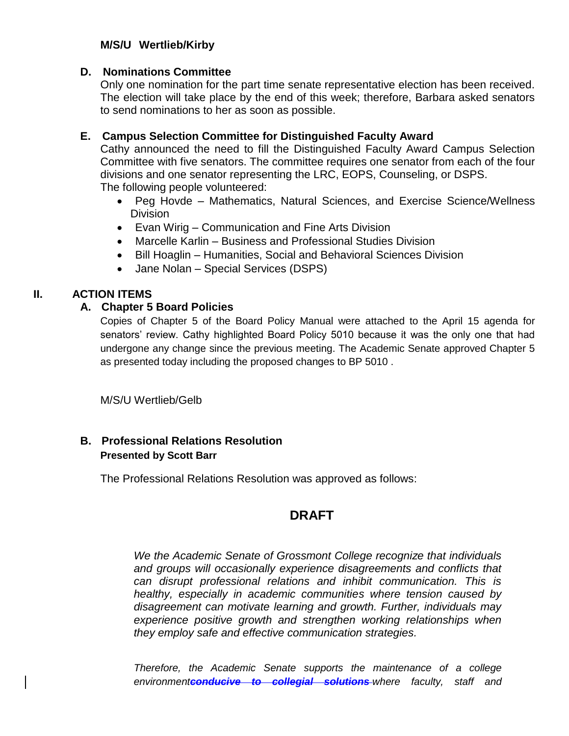# **M/S/U Wertlieb/Kirby**

### **D. Nominations Committee**

Only one nomination for the part time senate representative election has been received. The election will take place by the end of this week; therefore, Barbara asked senators to send nominations to her as soon as possible.

# **E. Campus Selection Committee for Distinguished Faculty Award**

Cathy announced the need to fill the Distinguished Faculty Award Campus Selection Committee with five senators. The committee requires one senator from each of the four divisions and one senator representing the LRC, EOPS, Counseling, or DSPS. The following people volunteered:

- Peg Hovde Mathematics, Natural Sciences, and Exercise Science/Wellness **Division**
- Evan Wirig Communication and Fine Arts Division
- Marcelle Karlin Business and Professional Studies Division
- Bill Hoaglin Humanities, Social and Behavioral Sciences Division
- Jane Nolan Special Services (DSPS)

# **II. ACTION ITEMS**

### **A. Chapter 5 Board Policies**

Copies of Chapter 5 of the Board Policy Manual were attached to the April 15 agenda for senators' review. Cathy highlighted Board Policy 5010 because it was the only one that had undergone any change since the previous meeting. The Academic Senate approved Chapter 5 as presented today including the proposed changes to BP 5010 .

M/S/U Wertlieb/Gelb

# **B. Professional Relations Resolution Presented by Scott Barr**

The Professional Relations Resolution was approved as follows:

# **DRAFT**

*We the Academic Senate of Grossmont College recognize that individuals and groups will occasionally experience disagreements and conflicts that can disrupt professional relations and inhibit communication. This is healthy, especially in academic communities where tension caused by disagreement can motivate learning and growth. Further, individuals may experience positive growth and strengthen working relationships when they employ safe and effective communication strategies.*

*Therefore, the Academic Senate supports the maintenance of a college environmentconducive to collegial solutions where faculty, staff and*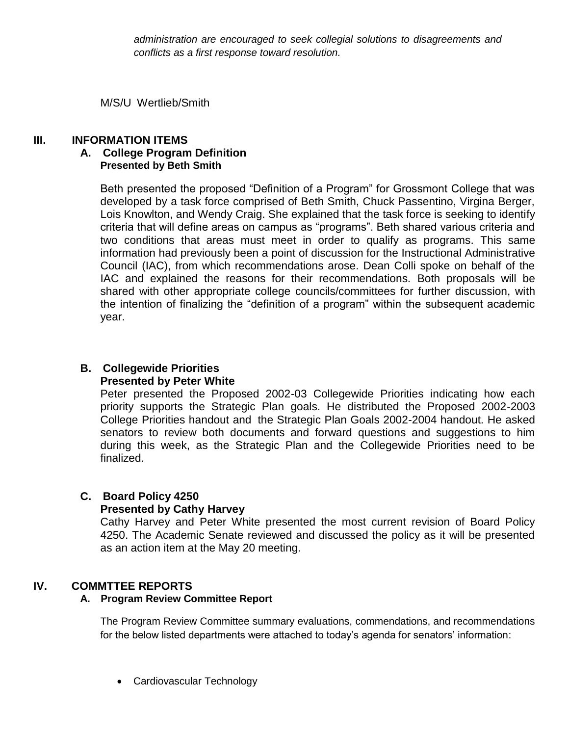*administration are encouraged to seek collegial solutions to disagreements and conflicts as a first response toward resolution.*

M/S/U Wertlieb/Smith

### **III. INFORMATION ITEMS**

### **A. College Program Definition Presented by Beth Smith**

Beth presented the proposed "Definition of a Program" for Grossmont College that was developed by a task force comprised of Beth Smith, Chuck Passentino, Virgina Berger, Lois Knowlton, and Wendy Craig. She explained that the task force is seeking to identify criteria that will define areas on campus as "programs". Beth shared various criteria and two conditions that areas must meet in order to qualify as programs. This same information had previously been a point of discussion for the Instructional Administrative Council (IAC), from which recommendations arose. Dean Colli spoke on behalf of the IAC and explained the reasons for their recommendations. Both proposals will be shared with other appropriate college councils/committees for further discussion, with the intention of finalizing the "definition of a program" within the subsequent academic year.

# **B. Collegewide Priorities**

### **Presented by Peter White**

Peter presented the Proposed 2002-03 Collegewide Priorities indicating how each priority supports the Strategic Plan goals. He distributed the Proposed 2002-2003 College Priorities handout and the Strategic Plan Goals 2002-2004 handout. He asked senators to review both documents and forward questions and suggestions to him during this week, as the Strategic Plan and the Collegewide Priorities need to be finalized.

# **C. Board Policy 4250**

### **Presented by Cathy Harvey**

Cathy Harvey and Peter White presented the most current revision of Board Policy 4250. The Academic Senate reviewed and discussed the policy as it will be presented as an action item at the May 20 meeting.

# **IV. COMMTTEE REPORTS**

### **A. Program Review Committee Report**

The Program Review Committee summary evaluations, commendations, and recommendations for the below listed departments were attached to today's agenda for senators' information:

Cardiovascular Technology